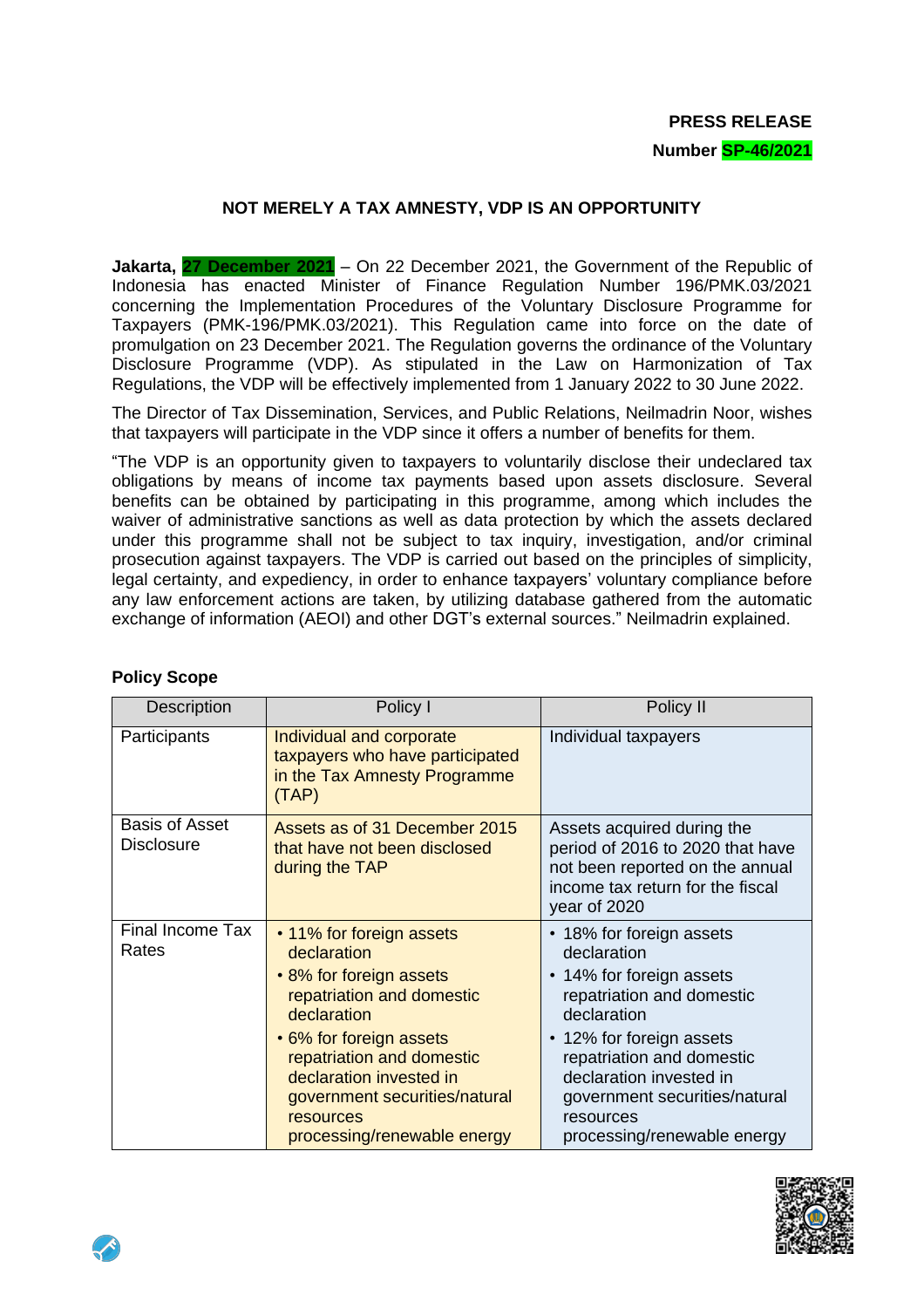# **PRESS RELEASE**

#### **Number SP-46/2021**

## **NOT MERELY A TAX AMNESTY, VDP IS AN OPPORTUNITY**

**Jakarta, 27 December 2021** – On 22 December 2021, the Government of the Republic of Indonesia has enacted Minister of Finance Regulation Number 196/PMK.03/2021 concerning the Implementation Procedures of the Voluntary Disclosure Programme for Taxpayers (PMK-196/PMK.03/2021). This Regulation came into force on the date of promulgation on 23 December 2021. The Regulation governs the ordinance of the Voluntary Disclosure Programme (VDP). As stipulated in the Law on Harmonization of Tax Regulations, the VDP will be effectively implemented from 1 January 2022 to 30 June 2022.

The Director of Tax Dissemination, Services, and Public Relations, Neilmadrin Noor, wishes that taxpayers will participate in the VDP since it offers a number of benefits for them.

"The VDP is an opportunity given to taxpayers to voluntarily disclose their undeclared tax obligations by means of income tax payments based upon assets disclosure. Several benefits can be obtained by participating in this programme, among which includes the waiver of administrative sanctions as well as data protection by which the assets declared under this programme shall not be subject to tax inquiry, investigation, and/or criminal prosecution against taxpayers. The VDP is carried out based on the principles of simplicity, legal certainty, and expediency, in order to enhance taxpayers' voluntary compliance before any law enforcement actions are taken, by utilizing database gathered from the automatic exchange of information (AEOI) and other DGT's external sources." Neilmadrin explained.

| Description                                | Policy I                                                                                                                                                                                                                                                                       | Policy II                                                                                                                                                                                                                                                                        |
|--------------------------------------------|--------------------------------------------------------------------------------------------------------------------------------------------------------------------------------------------------------------------------------------------------------------------------------|----------------------------------------------------------------------------------------------------------------------------------------------------------------------------------------------------------------------------------------------------------------------------------|
| Participants                               | Individual and corporate<br>taxpayers who have participated<br>in the Tax Amnesty Programme<br>(TAP)                                                                                                                                                                           | Individual taxpayers                                                                                                                                                                                                                                                             |
| <b>Basis of Asset</b><br><b>Disclosure</b> | Assets as of 31 December 2015<br>that have not been disclosed<br>during the TAP                                                                                                                                                                                                | Assets acquired during the<br>period of 2016 to 2020 that have<br>not been reported on the annual<br>income tax return for the fiscal<br>year of 2020                                                                                                                            |
| Final Income Tax<br>Rates                  | • 11% for foreign assets<br>declaration<br>• 8% for foreign assets<br>repatriation and domestic<br>declaration<br>• 6% for foreign assets<br>repatriation and domestic<br>declaration invested in<br>government securities/natural<br>resources<br>processing/renewable energy | • 18% for foreign assets<br>declaration<br>• 14% for foreign assets<br>repatriation and domestic<br>declaration<br>• 12% for foreign assets<br>repatriation and domestic<br>declaration invested in<br>government securities/natural<br>resources<br>processing/renewable energy |

#### **Policy Scope**

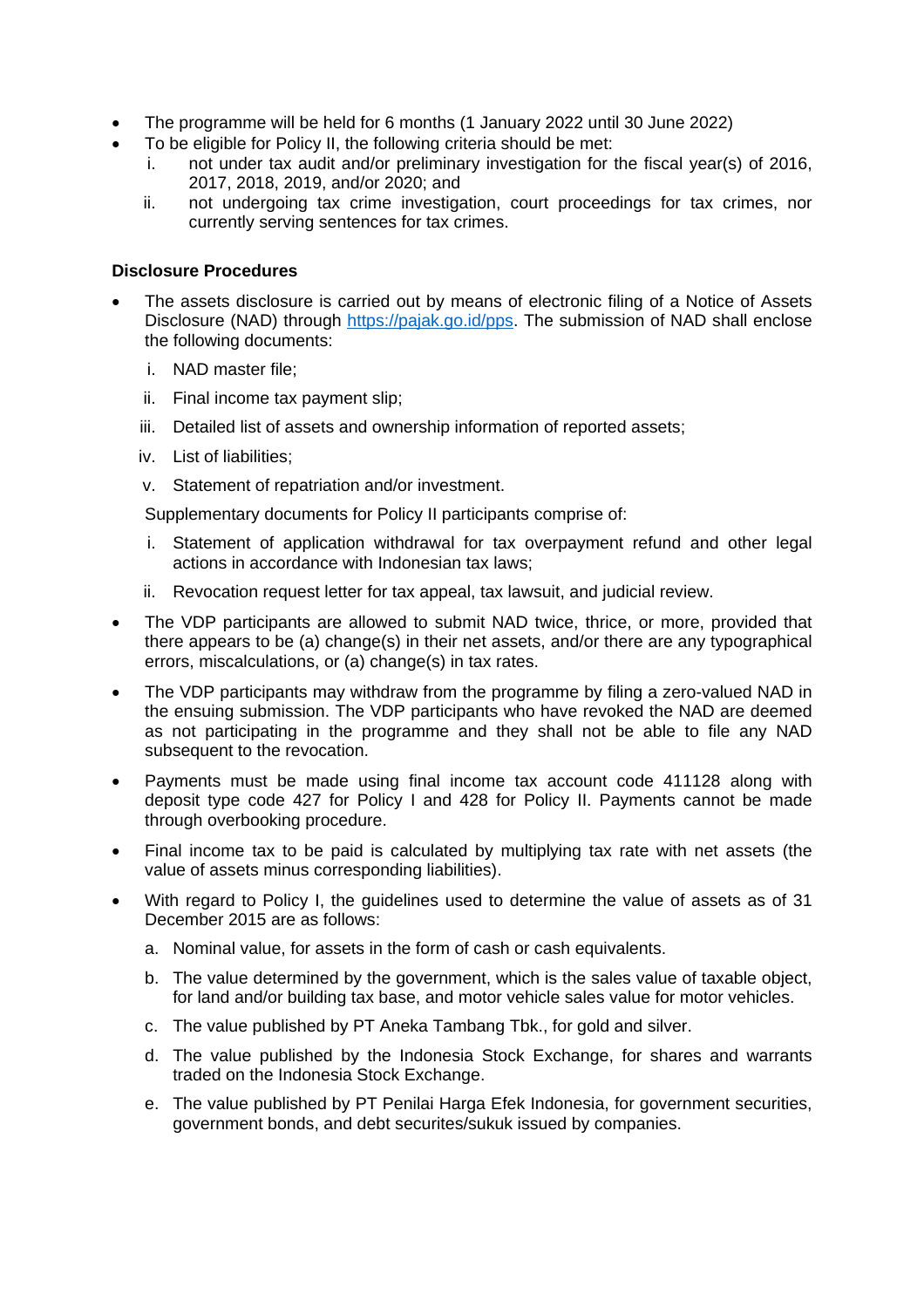- The programme will be held for 6 months (1 January 2022 until 30 June 2022)
- To be eligible for Policy II, the following criteria should be met:
	- i. not under tax audit and/or preliminary investigation for the fiscal year(s) of 2016, 2017, 2018, 2019, and/or 2020; and
	- ii. not undergoing tax crime investigation, court proceedings for tax crimes, nor currently serving sentences for tax crimes.

#### **Disclosure Procedures**

- The assets disclosure is carried out by means of electronic filing of a Notice of Assets Disclosure (NAD) through [https://pajak.go.id/pps.](https://pajak.go.id/pps) The submission of NAD shall enclose the following documents:
	- i. NAD master file;
	- ii. Final income tax payment slip;
	- iii. Detailed list of assets and ownership information of reported assets;
	- iv. List of liabilities;
	- v. Statement of repatriation and/or investment.

Supplementary documents for Policy II participants comprise of:

- i. Statement of application withdrawal for tax overpayment refund and other legal actions in accordance with Indonesian tax laws;
- ii. Revocation request letter for tax appeal, tax lawsuit, and judicial review.
- The VDP participants are allowed to submit NAD twice, thrice, or more, provided that there appears to be (a) change(s) in their net assets, and/or there are any typographical errors, miscalculations, or (a) change(s) in tax rates.
- The VDP participants may withdraw from the programme by filing a zero-valued NAD in the ensuing submission. The VDP participants who have revoked the NAD are deemed as not participating in the programme and they shall not be able to file any NAD subsequent to the revocation.
- Payments must be made using final income tax account code 411128 along with deposit type code 427 for Policy I and 428 for Policy II. Payments cannot be made through overbooking procedure.
- Final income tax to be paid is calculated by multiplying tax rate with net assets (the value of assets minus corresponding liabilities).
- With regard to Policy I, the guidelines used to determine the value of assets as of 31 December 2015 are as follows:
	- a. Nominal value, for assets in the form of cash or cash equivalents.
	- b. The value determined by the government, which is the sales value of taxable object, for land and/or building tax base, and motor vehicle sales value for motor vehicles.
	- c. The value published by PT Aneka Tambang Tbk., for gold and silver.
	- d. The value published by the Indonesia Stock Exchange, for shares and warrants traded on the Indonesia Stock Exchange.
	- e. The value published by PT Penilai Harga Efek Indonesia, for government securities, government bonds, and debt securites/sukuk issued by companies.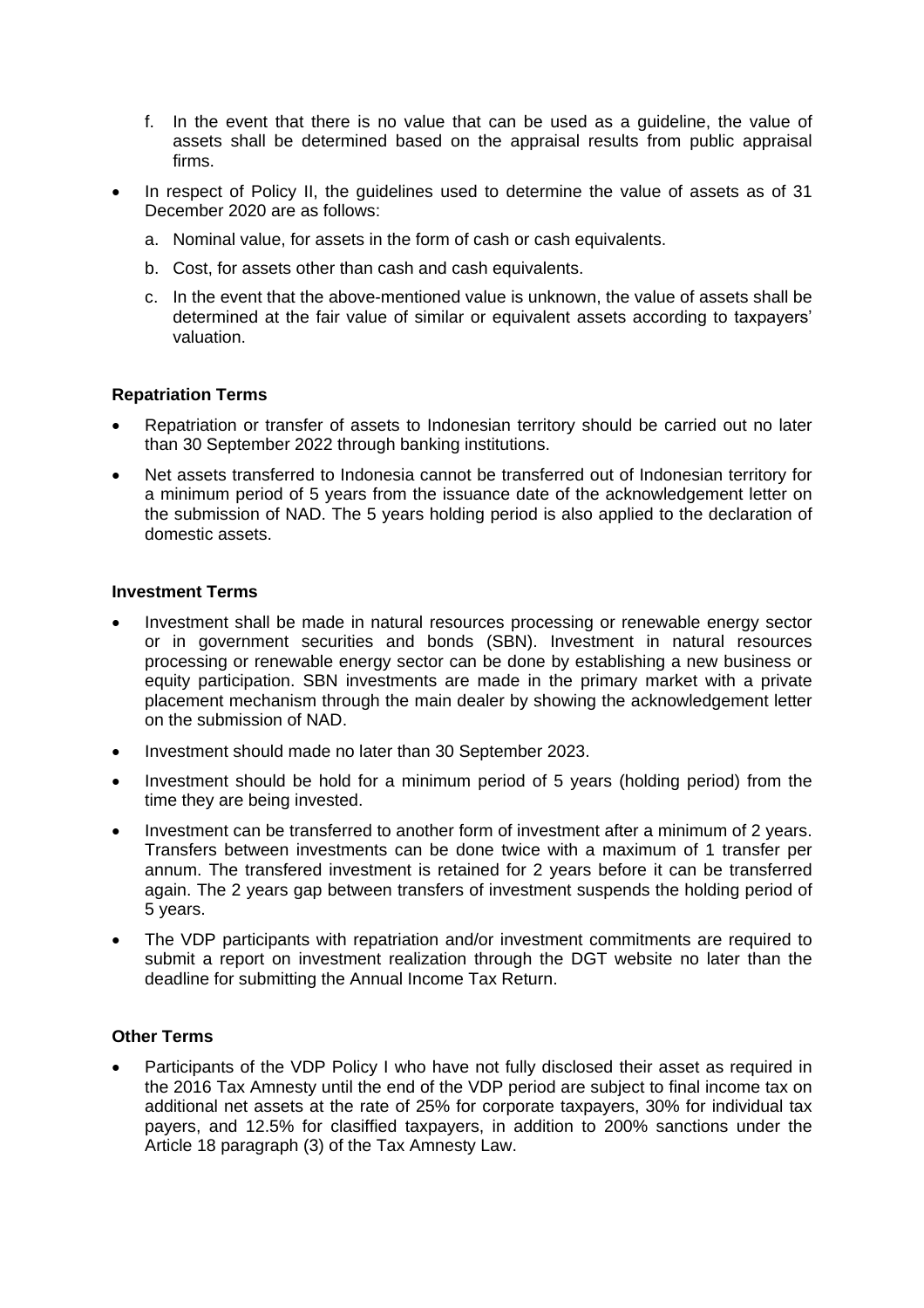- f. In the event that there is no value that can be used as a guideline, the value of assets shall be determined based on the appraisal results from public appraisal firms.
- In respect of Policy II, the guidelines used to determine the value of assets as of 31 December 2020 are as follows:
	- a. Nominal value, for assets in the form of cash or cash equivalents.
	- b. Cost, for assets other than cash and cash equivalents.
	- c. In the event that the above-mentioned value is unknown, the value of assets shall be determined at the fair value of similar or equivalent assets according to taxpayers' valuation.

### **Repatriation Terms**

- Repatriation or transfer of assets to Indonesian territory should be carried out no later than 30 September 2022 through banking institutions.
- Net assets transferred to Indonesia cannot be transferred out of Indonesian territory for a minimum period of 5 years from the issuance date of the acknowledgement letter on the submission of NAD. The 5 years holding period is also applied to the declaration of domestic assets.

### **Investment Terms**

- Investment shall be made in natural resources processing or renewable energy sector or in government securities and bonds (SBN). Investment in natural resources processing or renewable energy sector can be done by establishing a new business or equity participation. SBN investments are made in the primary market with a private placement mechanism through the main dealer by showing the acknowledgement letter on the submission of NAD.
- Investment should made no later than 30 September 2023.
- Investment should be hold for a minimum period of 5 years (holding period) from the time they are being invested.
- Investment can be transferred to another form of investment after a minimum of 2 years. Transfers between investments can be done twice with a maximum of 1 transfer per annum. The transfered investment is retained for 2 years before it can be transferred again. The 2 years gap between transfers of investment suspends the holding period of 5 years.
- The VDP participants with repatriation and/or investment commitments are required to submit a report on investment realization through the DGT website no later than the deadline for submitting the Annual Income Tax Return.

#### **Other Terms**

 Participants of the VDP Policy I who have not fully disclosed their asset as required in the 2016 Tax Amnesty until the end of the VDP period are subject to final income tax on additional net assets at the rate of 25% for corporate taxpayers, 30% for individual tax payers, and 12.5% for clasiffied taxpayers, in addition to 200% sanctions under the Article 18 paragraph (3) of the Tax Amnesty Law.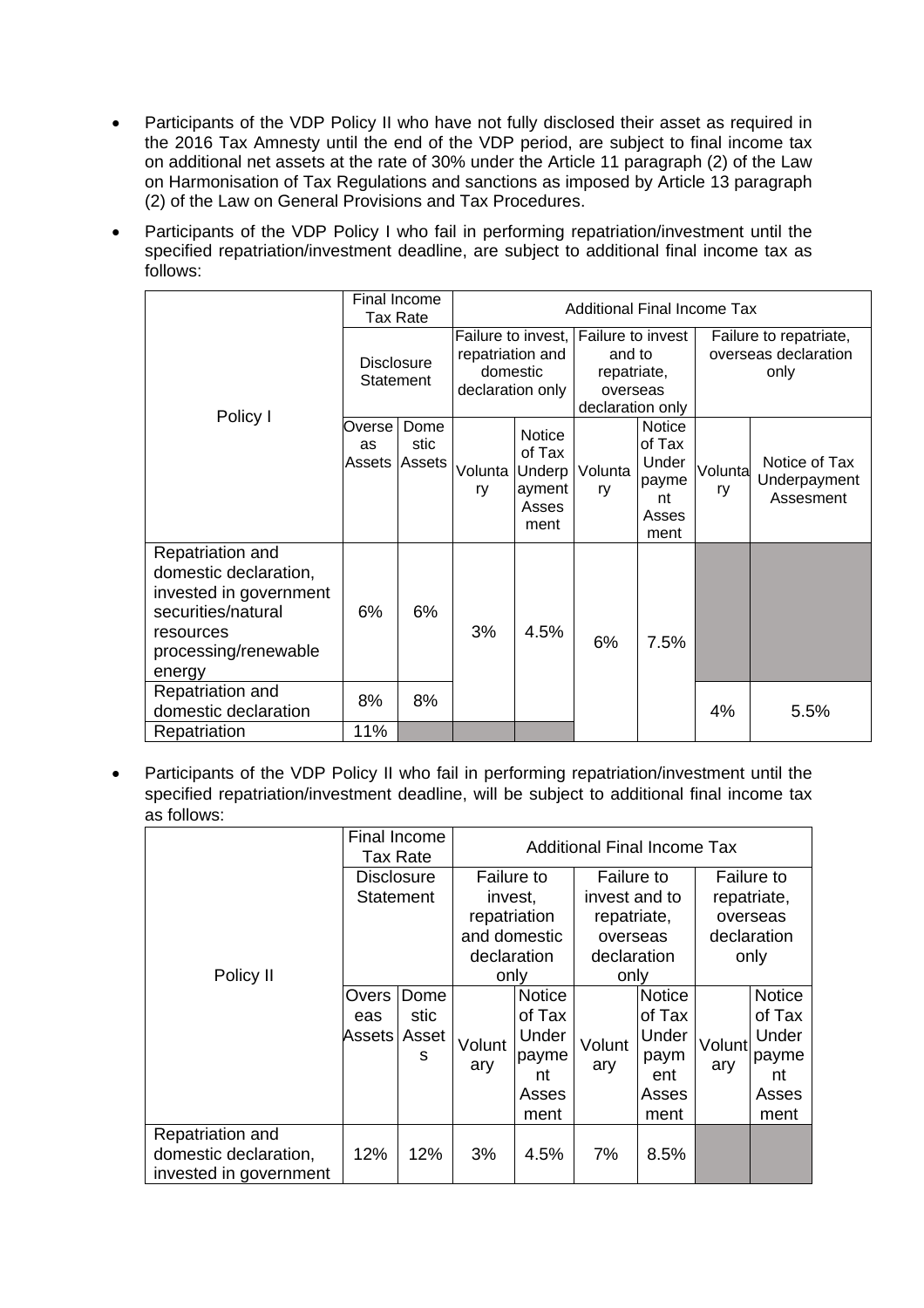- Participants of the VDP Policy II who have not fully disclosed their asset as required in the 2016 Tax Amnesty until the end of the VDP period, are subject to final income tax on additional net assets at the rate of 30% under the Article 11 paragraph (2) of the Law on Harmonisation of Tax Regulations and sanctions as imposed by Article 13 paragraph (2) of the Law on General Provisions and Tax Procedures.
- Participants of the VDP Policy I who fail in performing repatriation/investment until the specified repatriation/investment deadline, are subject to additional final income tax as follows:

| Policy I                                                                                                                                 | Final Income<br>Tax Rate        |              | <b>Additional Final Income Tax</b>                                     |                                                    |                                                                            |                                                                  |                                                        |                                            |  |  |
|------------------------------------------------------------------------------------------------------------------------------------------|---------------------------------|--------------|------------------------------------------------------------------------|----------------------------------------------------|----------------------------------------------------------------------------|------------------------------------------------------------------|--------------------------------------------------------|--------------------------------------------|--|--|
|                                                                                                                                          | <b>Disclosure</b><br>Statement  |              | Failure to invest,<br>repatriation and<br>domestic<br>declaration only |                                                    | Failure to invest<br>and to<br>repatriate,<br>overseas<br>declaration only |                                                                  | Failure to repatriate,<br>overseas declaration<br>only |                                            |  |  |
|                                                                                                                                          | Overse l<br>as<br>Assets Assets | Dome<br>stic | Volunta   Underp<br>ry                                                 | <b>Notice</b><br>of Tax<br>ayment<br>Asses<br>ment | Volunta<br>ry                                                              | <b>Notice</b><br>of Tax<br>Under<br>payme<br>nt<br>Asses<br>ment | Volunta<br>ry                                          | Notice of Tax<br>Underpayment<br>Assesment |  |  |
| Repatriation and<br>domestic declaration,<br>invested in government<br>securities/natural<br>resources<br>processing/renewable<br>energy | 6%                              | 6%           | 3%                                                                     | 4.5%                                               | 6%                                                                         | 7.5%                                                             |                                                        |                                            |  |  |
| Repatriation and<br>domestic declaration                                                                                                 | 8%                              | 8%           |                                                                        |                                                    |                                                                            |                                                                  | 4%                                                     | 5.5%                                       |  |  |
| Repatriation                                                                                                                             | 11%                             |              |                                                                        |                                                    |                                                                            |                                                                  |                                                        |                                            |  |  |

 Participants of the VDP Policy II who fail in performing repatriation/investment until the specified repatriation/investment deadline, will be subject to additional final income tax as follows:

|                                                                     | Final Income<br>Tax Rate |                            | <b>Additional Final Income Tax</b>                                                  |                                                                  |                                                                                      |                                                           |                                                              |                                                                  |  |  |
|---------------------------------------------------------------------|--------------------------|----------------------------|-------------------------------------------------------------------------------------|------------------------------------------------------------------|--------------------------------------------------------------------------------------|-----------------------------------------------------------|--------------------------------------------------------------|------------------------------------------------------------------|--|--|
| Policy II                                                           | Disclosure<br>Statement  |                            | <b>Failure to</b><br>invest,<br>repatriation<br>and domestic<br>declaration<br>only |                                                                  | <b>Failure to</b><br>invest and to<br>repatriate,<br>overseas<br>declaration<br>only |                                                           | Failure to<br>repatriate,<br>overseas<br>declaration<br>only |                                                                  |  |  |
|                                                                     | Overs<br>eas<br>Assets l | Dome<br>stic<br>Asset<br>S | Volunt<br>ary                                                                       | <b>Notice</b><br>of Tax<br>Under<br>payme<br>nt<br>Asses<br>ment | Volunt<br>ary                                                                        | Notice<br>of Tax<br>Under<br>paym<br>ent<br>Asses<br>ment | Volunt<br>ary                                                | <b>Notice</b><br>of Tax<br>Under<br>payme<br>nt<br>Asses<br>ment |  |  |
| Repatriation and<br>domestic declaration,<br>invested in government | 12%                      | 12%                        | 3%                                                                                  | 4.5%                                                             | 7%                                                                                   | 8.5%                                                      |                                                              |                                                                  |  |  |